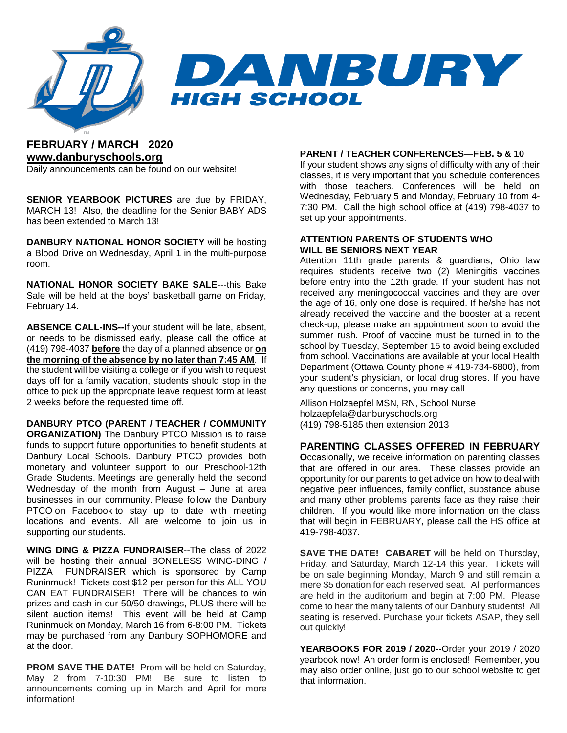

### **FEBRUARY / MARCH 2020 [www.danburyschools.org](http://www.danburyschools.org/)**

Daily announcements can be found on our website!

**SENIOR YEARBOOK PICTURES** are due by FRIDAY, MARCH 13! Also, the deadline for the Senior BABY ADS has been extended to March 13!

**DANBURY NATIONAL HONOR SOCIETY** will be hosting a Blood Drive on Wednesday, April 1 in the multi-purpose room.

**NATIONAL HONOR SOCIETY BAKE SALE**---this Bake Sale will be held at the boys' basketball game on Friday, February 14.

**ABSENCE CALL-INS--**If your student will be late, absent, or needs to be dismissed early, please call the office at (419) 798-4037 **before** the day of a planned absence or **on the morning of the absence by no later than 7:45 AM**. If the student will be visiting a college or if you wish to request days off for a family vacation, students should stop in the office to pick up the appropriate leave request form at least 2 weeks before the requested time off.

**DANBURY PTCO (PARENT / TEACHER / COMMUNITY ORGANIZATION)** The Danbury PTCO Mission is to raise funds to support future opportunities to benefit students at Danbury Local Schools. Danbury PTCO provides both monetary and volunteer support to our Preschool-12th Grade Students. Meetings are generally held the second Wednesday of the month from August – June at area businesses in our community. Please follow the Danbury PTCO on Facebook to stay up to date with meeting locations and events. All are welcome to join us in supporting our students.

**WING DING & PIZZA FUNDRAISER**--The class of 2022 will be hosting their annual BONELESS WING-DING / PIZZA FUNDRAISER which is sponsored by Camp Runinmuck! Tickets cost \$12 per person for this ALL YOU CAN EAT FUNDRAISER! There will be chances to win prizes and cash in our 50/50 drawings, PLUS there will be silent auction items! This event will be held at Camp Runinmuck on Monday, March 16 from 6-8:00 PM. Tickets may be purchased from any Danbury SOPHOMORE and at the door.

**PROM SAVE THE DATE!** Prom will be held on Saturday, May 2 from 7-10:30 PM! Be sure to listen to announcements coming up in March and April for more information!

#### **PARENT / TEACHER CONFERENCES—FEB. 5 & 10**

If your student shows any signs of difficulty with any of their classes, it is very important that you schedule conferences with those teachers. Conferences will be held on Wednesday, February 5 and Monday, February 10 from 4- 7:30 PM. Call the high school office at (419) 798-4037 to set up your appointments.

#### **ATTENTION PARENTS OF STUDENTS WHO WILL BE SENIORS NEXT YEAR**

Attention 11th grade parents & guardians, Ohio law requires students receive two (2) Meningitis vaccines before entry into the 12th grade. If your student has not received any meningococcal vaccines and they are over the age of 16, only one dose is required. If he/she has not already received the vaccine and the booster at a recent check-up, please make an appointment soon to avoid the summer rush. Proof of vaccine must be turned in to the school by Tuesday, September 15 to avoid being excluded from school. Vaccinations are available at your local Health Department (Ottawa County phone # 419-734-6800), from your student's physician, or local drug stores. If you have any questions or concerns, you may call

Allison Holzaepfel MSN, RN, School Nurse holzaepfela@danburyschools.org (419) 798-5185 then extension 2013

### **PARENTING CLASSES OFFERED IN FEBRUARY**

**O**ccasionally, we receive information on parenting classes that are offered in our area. These classes provide an opportunity for our parents to get advice on how to deal with negative peer influences, family conflict, substance abuse and many other problems parents face as they raise their children. If you would like more information on the class that will begin in FEBRUARY, please call the HS office at 419-798-4037.

**SAVE THE DATE! CABARET** will be held on Thursday, Friday, and Saturday, March 12-14 this year. Tickets will be on sale beginning Monday, March 9 and still remain a mere \$5 donation for each reserved seat. All performances are held in the auditorium and begin at 7:00 PM. Please come to hear the many talents of our Danbury students! All seating is reserved. Purchase your tickets ASAP, they sell out quickly!

**YEARBOOKS FOR 2019 / 2020--**Order your 2019 / 2020 yearbook now! An order form is enclosed! Remember, you may also order online, just go to our school website to get that information.